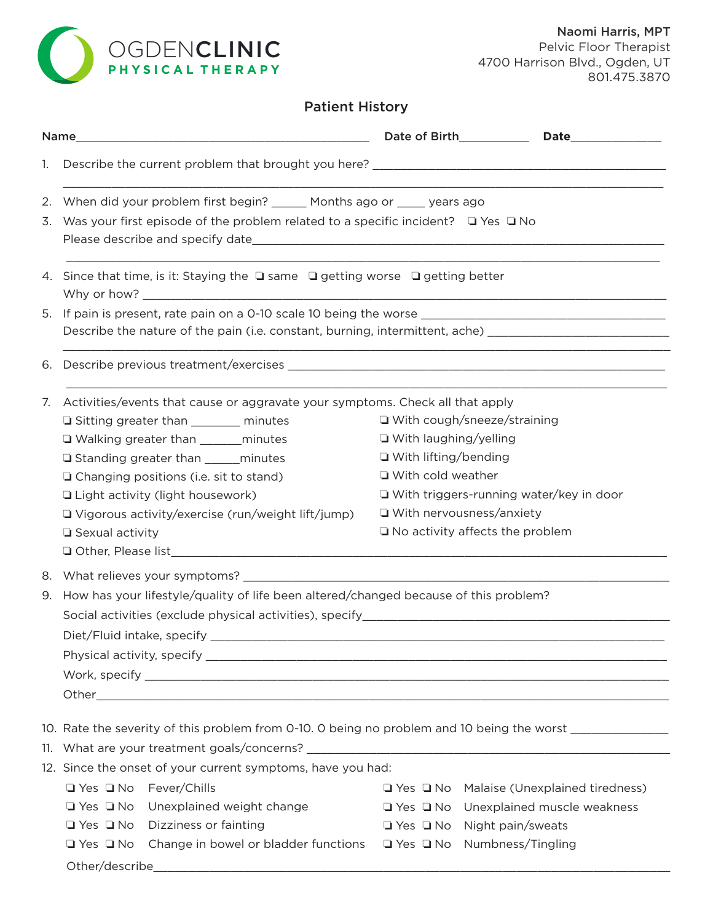

# Patient History

| 1.       | Describe the current problem that brought you here? _____________________________                                                                                                                                                                                                                                                                                                                                                                           |                                                                                                                                                                                                                                     |  |  |
|----------|-------------------------------------------------------------------------------------------------------------------------------------------------------------------------------------------------------------------------------------------------------------------------------------------------------------------------------------------------------------------------------------------------------------------------------------------------------------|-------------------------------------------------------------------------------------------------------------------------------------------------------------------------------------------------------------------------------------|--|--|
|          | 2. When did your problem first begin? _____ Months ago or ____ years ago<br>3. Was your first episode of the problem related to a specific incident? □ Yes □ No                                                                                                                                                                                                                                                                                             |                                                                                                                                                                                                                                     |  |  |
|          | 4. Since that time, is it: Staying the $\square$ same $\square$ getting worse $\square$ getting better                                                                                                                                                                                                                                                                                                                                                      |                                                                                                                                                                                                                                     |  |  |
|          | Describe the nature of the pain (i.e. constant, burning, intermittent, ache) _______________________                                                                                                                                                                                                                                                                                                                                                        |                                                                                                                                                                                                                                     |  |  |
| 6.       |                                                                                                                                                                                                                                                                                                                                                                                                                                                             |                                                                                                                                                                                                                                     |  |  |
| 7.       | Activities/events that cause or aggravate your symptoms. Check all that apply<br>□ Sitting greater than ________ minutes<br>□ Walking greater than ________ minutes<br>□ Standing greater than ______ minutes<br>□ Changing positions (i.e. sit to stand)<br>□ Light activity (light housework)<br>$\Box$ Vigorous activity/exercise (run/weight lift/jump)<br>□ Sexual activity                                                                            | □ With cough/sneeze/straining<br>□ With laughing/yelling<br>□ With lifting/bending<br>□ With cold weather<br>$\Box$ With triggers-running water/key in door<br>$\Box$ With nervousness/anxiety<br>□ No activity affects the problem |  |  |
| 8.<br>9. | How has your lifestyle/quality of life been altered/changed because of this problem?<br>Social activities (exclude physical activities), specify_________________________<br>Physical activity, specify experiment of the state of the state of the state of the state of the state of the state of the state of the state of the state of the state of the state of the state of the state of the state of                                                 |                                                                                                                                                                                                                                     |  |  |
|          | 10. Rate the severity of this problem from 0-10. 0 being no problem and 10 being the worst [100] 10. Rate the severity of this problem from 0-10. 0 being no problem and 10 being the worst<br>12. Since the onset of your current symptoms, have you had:<br>□ Yes □ No Fever/Chills<br>□ Yes □ No Unexplained weight change<br>$\Box$ Yes $\Box$ No Dizziness or fainting<br>□ Yes □ No Change in bowel or bladder functions □ Yes □ No Numbness/Tingling | □ Yes □ No Malaise (Unexplained tiredness)<br>□ Yes □ No Unexplained muscle weakness<br>$\Box$ Yes $\Box$ No Night pain/sweats                                                                                                      |  |  |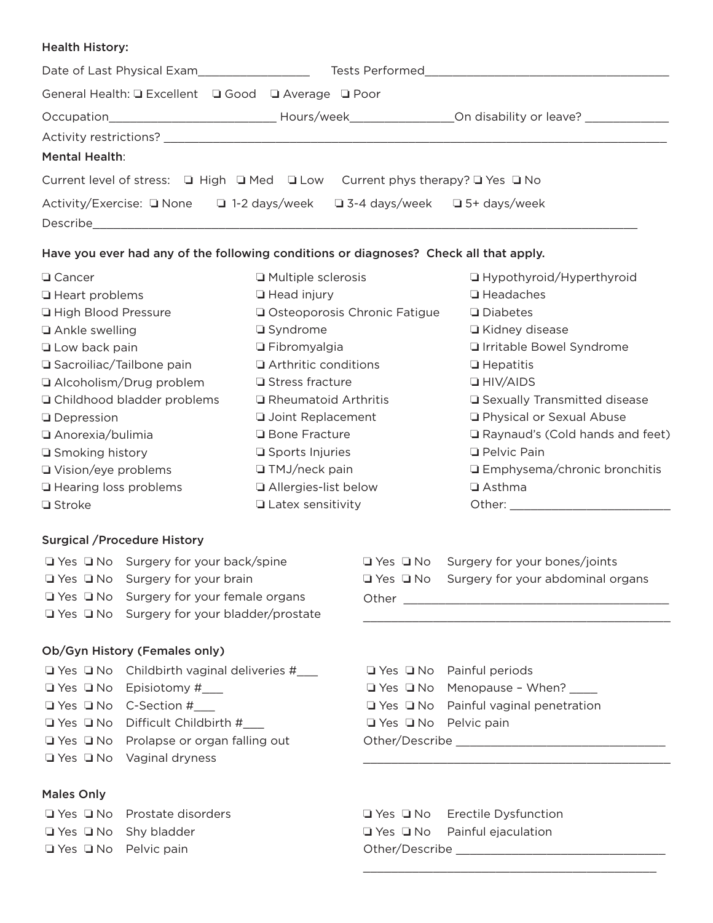#### Health History:

| Date of Last Physical Exam                                                                            |                                                                          | <b>Tests Performed and Service Services</b>                                      |  |
|-------------------------------------------------------------------------------------------------------|--------------------------------------------------------------------------|----------------------------------------------------------------------------------|--|
| General Health: Q Excellent Q Good Q Average Q Poor                                                   |                                                                          |                                                                                  |  |
|                                                                                                       |                                                                          | Hours/week__________________________On disability or leave? ____________________ |  |
|                                                                                                       |                                                                          |                                                                                  |  |
| <b>Mental Health:</b>                                                                                 |                                                                          |                                                                                  |  |
| Current level of stress: $\Box$ High $\Box$ Med $\Box$ Low Current phys therapy? $\Box$ Yes $\Box$ No |                                                                          |                                                                                  |  |
|                                                                                                       | Activity/Exercise: □ None □ 1-2 days/week □ 3-4 days/week □ 5+ days/week |                                                                                  |  |
| Describe                                                                                              |                                                                          |                                                                                  |  |

### Have you ever had any of the following conditions or diagnoses? Check all that apply.

| □ Cancer                      | Multiple sclerosis             | □ Hypothyroid/Hyperthyroid        |
|-------------------------------|--------------------------------|-----------------------------------|
| □ Heart problems              | $\Box$ Head injury             | $\Box$ Headaches                  |
| <b>La High Blood Pressure</b> | □ Osteoporosis Chronic Fatigue | $\Box$ Diabetes                   |
| □ Ankle swelling              | $\Box$ Syndrome                | □ Kidney disease                  |
| $\Box$ Low back pain          | $\Box$ Fibromyalgia            | □ Irritable Bowel Syndrome        |
| □ Sacroiliac/Tailbone pain    | Arthritic conditions           | $\Box$ Hepatitis                  |
| □ Alcoholism/Drug problem     | □ Stress fracture              | $\Box$ HIV/AIDS                   |
| □ Childhood bladder problems  | □ Rheumatoid Arthritis         | □ Sexually Transmitted disease    |
| <b>Q</b> Depression           | <b>Joint Replacement</b>       | <b>D</b> Physical or Sexual Abuse |
| □ Anorexia/bulimia            | □ Bone Fracture                | Raynaud's (Cold hands and feet)   |
| □ Smoking history             | □ Sports Injuries              | <b>Q</b> Pelvic Pain              |
| □ Vision/eye problems         | □ TMJ/neck pain                | □ Emphysema/chronic bronchitis    |
| Hearing loss problems         | Allergies-list below           | $\Box$ Asthma                     |
| $\Box$ Stroke                 | $\Box$ Latex sensitivity       | Other:                            |
|                               |                                |                                   |

#### Surgical /Procedure History

| $\Box$ Yes $\Box$ No Surgery for your back/spine       |       | $\Box$ Yes $\Box$ No Surgery for your bones/joints     |
|--------------------------------------------------------|-------|--------------------------------------------------------|
| $\Box$ Yes $\Box$ No Surgery for your brain            |       | $\Box$ Yes $\Box$ No Surgery for your abdominal organs |
| $\Box$ Yes $\Box$ No Surgery for your female organs    | Other |                                                        |
| $\Box$ Yes $\Box$ No Surgery for your bladder/prostate |       |                                                        |
|                                                        |       |                                                        |

### Ob/Gyn History (Females only)

| $\Box$ Yes $\Box$ No Childbirth vaginal deliveries # |
|------------------------------------------------------|
| $\Box$ Yes $\Box$ No Episiotomy #                    |
| $\Box$ Yes $\Box$ No $\Box$ C-Section #              |
| $\Box$ Yes $\Box$ No Difficult Childbirth #          |
| $\Box$ Yes $\Box$ No Prolapse or organ falling out   |
| $\Box$ Yes $\Box$ No Vaginal dryness                 |

## Males Only

 $\Box$  Yes  $\Box$  No Prostate disorders

 $\Box$  Yes  $\Box$  No Shy bladder

 $\Box$  Yes  $\Box$  No Pelvic pain

| <b>Other</b> |                                      |  |  |
|--------------|--------------------------------------|--|--|
|              |                                      |  |  |
|              |                                      |  |  |
|              |                                      |  |  |
|              | $\Box$ Yes $\Box$ No Painful periods |  |  |

\_\_\_\_\_\_\_\_\_\_\_\_\_\_\_\_\_\_\_\_\_\_\_\_\_\_\_\_\_\_\_\_\_\_\_\_\_\_\_\_\_\_

|                                  | $\Box$ Yes $\Box$ No Menopause - When?           |  |
|----------------------------------|--------------------------------------------------|--|
|                                  | $\Box$ Yes $\Box$ No Painful vaginal penetration |  |
| $\Box$ Yes $\Box$ No Pelvic pain |                                                  |  |
| Other/Describe __________        |                                                  |  |

**Q** Yes Q No Erectile Dysfunction  $\Box$  Yes  $\Box$  No Painful ejaculation Other/Describe \_\_\_\_\_\_\_\_\_\_\_\_\_\_\_\_\_\_\_\_\_\_\_\_\_\_\_\_\_\_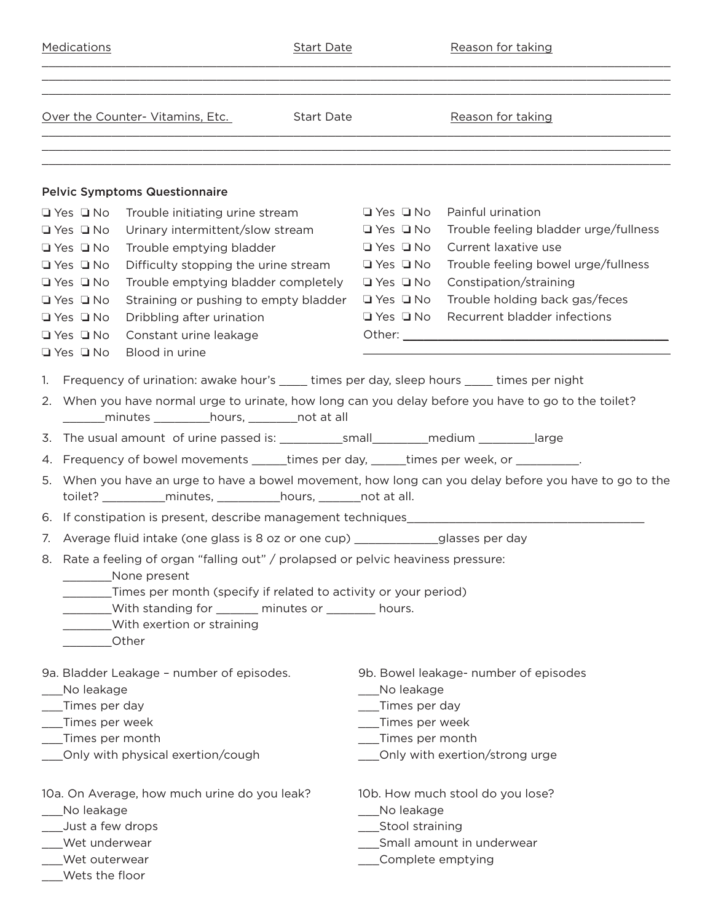| Medications                                                                                                                                                                                                                                                                                                                                                                                                                                                                                                                                                                                                                                                                                                                                                                                                                                                                                                                                                                                                                 |                                                                                                                                                                                                                                                               | <b>Start Date</b> |                                                                                                                                              | Reason for taking                                                                                                                                                                                |
|-----------------------------------------------------------------------------------------------------------------------------------------------------------------------------------------------------------------------------------------------------------------------------------------------------------------------------------------------------------------------------------------------------------------------------------------------------------------------------------------------------------------------------------------------------------------------------------------------------------------------------------------------------------------------------------------------------------------------------------------------------------------------------------------------------------------------------------------------------------------------------------------------------------------------------------------------------------------------------------------------------------------------------|---------------------------------------------------------------------------------------------------------------------------------------------------------------------------------------------------------------------------------------------------------------|-------------------|----------------------------------------------------------------------------------------------------------------------------------------------|--------------------------------------------------------------------------------------------------------------------------------------------------------------------------------------------------|
|                                                                                                                                                                                                                                                                                                                                                                                                                                                                                                                                                                                                                                                                                                                                                                                                                                                                                                                                                                                                                             | Over the Counter-Vitamins, Etc.                                                                                                                                                                                                                               | <b>Start Date</b> |                                                                                                                                              | Reason for taking                                                                                                                                                                                |
| $\Box$ Yes $\Box$ No                                                                                                                                                                                                                                                                                                                                                                                                                                                                                                                                                                                                                                                                                                                                                                                                                                                                                                                                                                                                        | <b>Pelvic Symptoms Questionnaire</b><br>Trouble initiating urine stream                                                                                                                                                                                       |                   | $\Box$ Yes $\Box$ No                                                                                                                         | Painful urination                                                                                                                                                                                |
| $\Box$ Yes $\Box$ No<br>$\Box$ Yes $\Box$ No<br>$\Box$ Yes $\Box$ No<br>$\Box$ Yes $\Box$ No<br>$\Box$ Yes $\Box$ No<br>$\Box$ Yes $\Box$ No<br>$\Box$ Yes $\Box$ No<br>$\Box$ Yes $\Box$ No                                                                                                                                                                                                                                                                                                                                                                                                                                                                                                                                                                                                                                                                                                                                                                                                                                | Urinary intermittent/slow stream<br>Trouble emptying bladder<br>Difficulty stopping the urine stream<br>Trouble emptying bladder completely<br>Straining or pushing to empty bladder<br>Dribbling after urination<br>Constant urine leakage<br>Blood in urine |                   | $\Box$ Yes $\Box$ No<br>$\Box$ Yes $\Box$ No<br>$\Box$ Yes $\Box$ No<br>$\Box$ Yes $\Box$ No<br>$\Box$ Yes $\Box$ No<br>$\Box$ Yes $\Box$ No | Trouble feeling bladder urge/fullness<br>Current laxative use<br>Trouble feeling bowel urge/fullness<br>Constipation/straining<br>Trouble holding back gas/feces<br>Recurrent bladder infections |
| 1. Frequency of urination: awake hour's _____ times per day, sleep hours _____ times per night<br>2. When you have normal urge to urinate, how long can you delay before you have to go to the toilet?<br>_________minutes ___________hours, _________not at all<br>3. The usual amount of urine passed is: _____________small__________medium _________large<br>Frequency of bowel movements ______times per day, _____times per week, or __________.<br>4.<br>5. When you have an urge to have a bowel movement, how long can you delay before you have to go to the<br>toilet? ______________minutes, ______________hours, _________not at all.<br>7. Average fluid intake (one glass is 8 oz or one cup) _____________glasses per day<br>8. Rate a feeling of organ "falling out" / prolapsed or pelvic heaviness pressure:<br>None present<br>_____Times per month (specify if related to activity or your period)<br>_____With standing for _______ minutes or ________ hours.<br>With exertion or straining<br>Other |                                                                                                                                                                                                                                                               |                   |                                                                                                                                              |                                                                                                                                                                                                  |
| No leakage<br>Times per day<br>Times per week<br>Times per month                                                                                                                                                                                                                                                                                                                                                                                                                                                                                                                                                                                                                                                                                                                                                                                                                                                                                                                                                            | 9a. Bladder Leakage - number of episodes.<br>Only with physical exertion/cough                                                                                                                                                                                |                   | ___No leakage<br>_Times per day<br>___Times per week<br>___Times per month                                                                   | 9b. Bowel leakage- number of episodes<br>___Only with exertion/strong urge                                                                                                                       |
| No leakage<br>Just a few drops<br>Wet underwear<br>Wet outerwear<br>Wets the floor                                                                                                                                                                                                                                                                                                                                                                                                                                                                                                                                                                                                                                                                                                                                                                                                                                                                                                                                          | 10a. On Average, how much urine do you leak?                                                                                                                                                                                                                  |                   | No leakage<br>___Stool straining<br>_Complete emptying                                                                                       | 10b. How much stool do you lose?<br>___Small amount in underwear                                                                                                                                 |